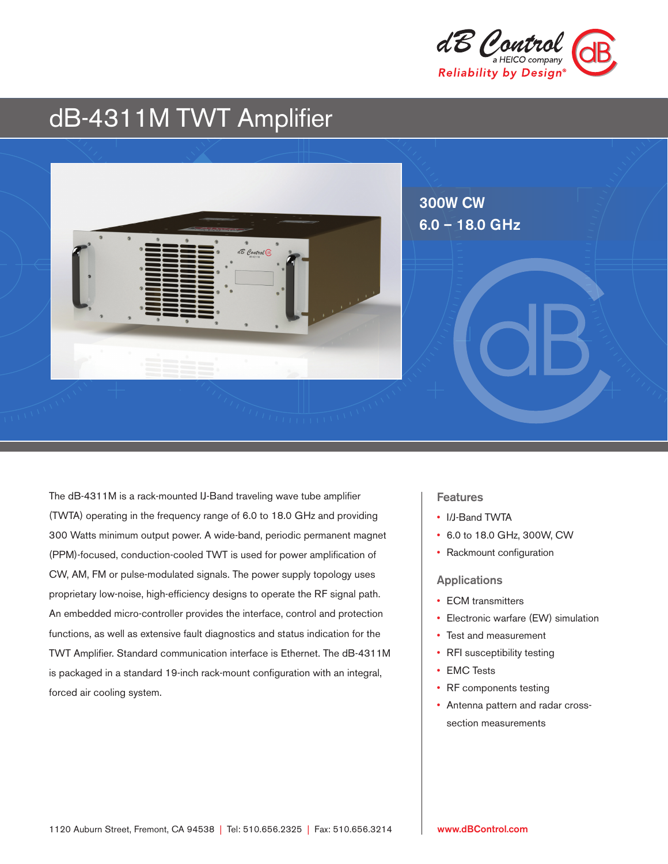

# dB-4311M TWT Amplifier



The dB-4311M is a rack-mounted IJ-Band traveling wave tube amplifier (TWTA) operating in the frequency range of 6.0 to 18.0 GHz and providing 300 Watts minimum output power. A wide-band, periodic permanent magnet (PPM)-focused, conduction-cooled TWT is used for power amplification of CW, AM, FM or pulse-modulated signals. The power supply topology uses proprietary low-noise, high-efficiency designs to operate the RF signal path. An embedded micro-controller provides the interface, control and protection functions, as well as extensive fault diagnostics and status indication for the TWT Amplifier. Standard communication interface is Ethernet. The dB-4311M is packaged in a standard 19-inch rack-mount configuration with an integral, forced air cooling system.

## **Features**

- I/J-Band TWTA
- 6.0 to 18.0 GHz, 300W, CW
- Rackmount configuration

#### Applications

- ECM transmitters
- Electronic warfare (EW) simulation
- Test and measurement
- RFI susceptibility testing
- EMC Tests
- RF components testing
- Antenna pattern and radar crosssection measurements